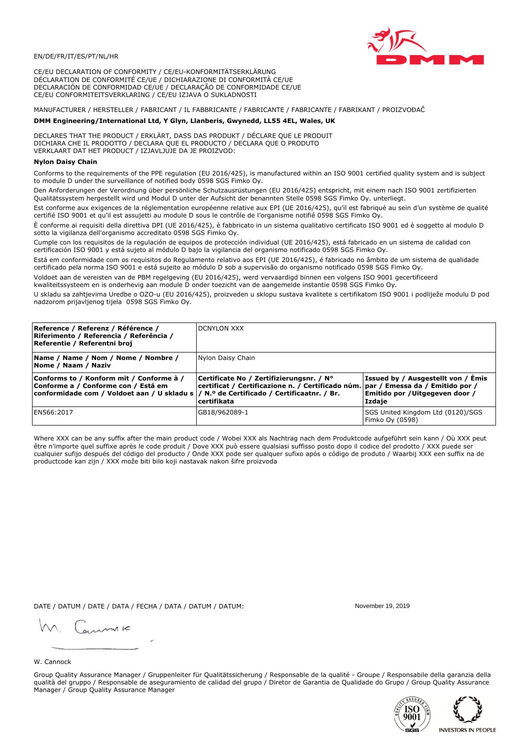

CE/EU DECLARATION OF CONFORMITY / CE/EU-KONFORMITÄTSERKLÄRUNG DÉCLARATION DE CONFORMITÉ CE/UE / DICHIARAZIONE DI CONFORMITÀ CE/UE DECLARACIÓN DE CONFORMIDAD CE/UE / DECLARAÇÃO DE CONFORMIDADE CE/UE CE/EU CONFORMITEITSVERKLARING / CE/EU IZJAVA O SUKLADNOSTI

# MANUFACTURER / HERSTELLER / FABRICANT / IL FABBRICANTE / FABRICANTE / FABRICANTE / FABRIKANT / PROIZVOĐAČ

## DMM Engineering/International Ltd, Y Glyn, Llanberis, Gwynedd, LL55 4EL, Wales, UK

DECLARES THAT THE PRODUCT / ERKLÄRT, DASS DAS PRODUKT / DÉCLARE QUE LE PRODUIT<br>DICHIARA CHE IL PRODOTTO / DECLARA QUE EL PRODUCTO / DECLARA QUE O PRODUTO VERKLAART DAT HET PRODUCT / IZJAVLJUJE DA JE PROIZVOD:

### **Nylon Daisy Chain**

Conforms to the requirements of the PPE regulation (EU 2016/425), is manufactured within an ISO 9001 certified quality system and is subject to module D under the surveillance of notified body 0598 SGS Fimko Ov.

Den Anforderungen der Verordnung über persönliche Schutzausrüstungen (EU 2016/425) entspricht, mit einem nach ISO 9001 zertifizierten Qualitätssystem hergestellt wird und Modul D unter der Aufsicht der benannten Stelle 0598 SGS Fimko Oy. unterliegt.

Est conforme aux exigences de la réglementation européenne relative aux EPI (UE 2016/425), qu'il est fabriqué au sein d'un système de qualité certifié ISO 9001 et qu'il est assujetti au module D sous le contrôle de l'organisme notifié 0598 SGS Fimko Oy.

È conforme ai requisiti della direttiva DPI (UE 2016/425), è fabbricato in un sistema qualitativo certificato ISO 9001 ed è soggetto al modulo D sotto la vigilanza dell'organismo accreditato 0598 SGS Fimko Oy.

Cumple con los requisitos de la regulación de equipos de protección individual (UE 2016/425), está fabricado en un sistema de calidad con certificación ISO 9001 y está sujeto al módulo D bajo la vigilancia del organismo notificado 0598 SGS Fimko Oy.

Está em conformidade com os requisitos do Regulamento relativo aos EPI (UE 2016/425), é fabricado no âmbito de um sistema de qualidade certificado pela norma ISO 9001 e está sujeito ao módulo D sob a supervisão do organismo notificado 0598 SGS Fimko Oy.

Voldoet aan de vereisten van de PBM regelgeving (EU 2016/425), werd vervaardigd binnen een volgens ISO 9001 gecertificeerd kwaliteitssysteem en is onderhevig aan module D onder toezicht van de aangemelde instantie 0598 SGS Fimko Oy.

U skladu sa zahtjevima Uredbe o OZO-u (EU 2016/425), proizveden u sklopu sustava kvalitete s certifikatom ISO 9001 i podliježe modulu D pod nadzorom prijavljenog tijela 0598 SGS Fimko Oy.

| Reference / Referenz / Référence /<br>Riferimento / Referencia / Referência /<br>Referentie / Referentni broj                                                              | <b>DCNYLON XXX</b>                                                                                                                                 |                                                                                 |
|----------------------------------------------------------------------------------------------------------------------------------------------------------------------------|----------------------------------------------------------------------------------------------------------------------------------------------------|---------------------------------------------------------------------------------|
| Name / Name / Nom / Nome / Nombre /<br>Nome / Naam / Naziv                                                                                                                 | Nylon Daisy Chain                                                                                                                                  |                                                                                 |
| Conforms to / Konform mit / Conforme à /<br>Conforme a / Conforme con / Está em<br>conformidade com / Voldoet aan / U skladu s / N.º de Certificado / Certificaatnr. / Br. | Certificate No / Zertifizierungsnr. / N°<br>  certificat / Certificazione n. / Certificado núm.   par / Emessa da / Emitido por /<br>l certifikata | Issued by / Ausgestellt von / Emis<br>Emitido por / Uitgegeven door /<br>Izdaje |
| EN566:2017                                                                                                                                                                 | GB18/962089-1                                                                                                                                      | SGS United Kingdom Ltd (0120)/SGS<br>Fimko Oy (0598)                            |

Where XXX can be any suffix after the main product code / Wobei XXX als Nachtrag nach dem Produktcode aufgeführt sein kann / Où XXX peut être n'importe quel suffixe après le code produit / Dove XXX può essere qualsiasi suffisso posto dopo il codice del prodotto / XXX puede ser cualquier sufijo después del código del producto / Onde XXX pode ser qualquer sufixo após o código de produto / Waarbij XXX een suffix na de productcode kan zijn / XXX može biti bilo koji nastavak nakon šifre proizvoda

DATE / DATUM / DATE / DATA / FECHA / DATA / DATUM / DATUM:

gimmic

November 19 2019



Group Quality Assurance Manager / Gruppenleiter für Qualitätssicherung / Responsable de la qualité - Groupe / Responsabile della garanzia della qualità del gruppo / Responsable de aseguramiento de calidad del grupo / Diretor de Garantia de Qualidade do Grupo / Group Quality Assurance Manager / Group Quality Assurance Manager



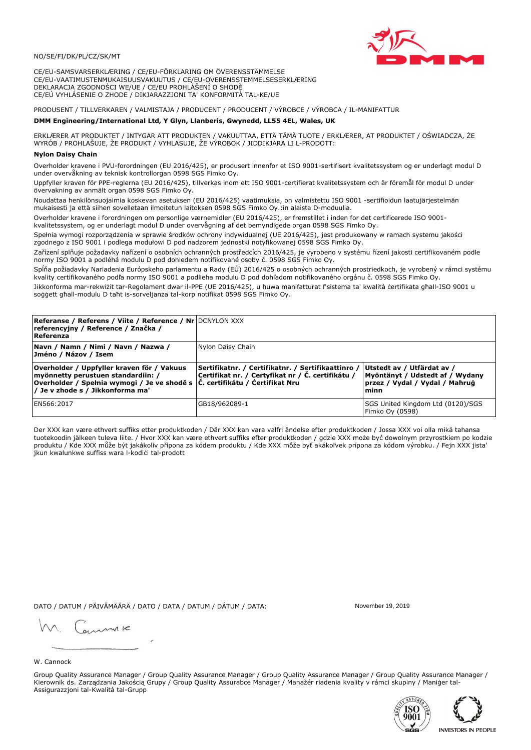

CE/EU-SAMSVARSERKLÆRING / CE/EU-FÖRKLARING OM ÖVERENSSTÄMMELSE CE/EU-VAATIMUSTENMUKAISUUSVAKUUTUS / CE/EU-OVERENSSTEMMELSESERKLÆRING DEKLARACJA ZGODNOŚCI WE/UE / CE/EU PROHLÁŠENÍ O SHODĚ CE/EÚ VYHLÁSENIE O ZHODE / DIKJARAZZJONI TA' KONFORMITÀ TAL-KE/UE

# PRODUSENT / TILLVERKAREN / VALMISTAJA / PRODUCENT / PRODUCENT / VÝROBCE / VÝROBCA / IL-MANIFATTUR

#### DMM Engineering/International Ltd, Y Glyn, Llanberis, Gwynedd, LL55 4EL, Wales, UK

ERKLÆRER AT PRODUKTET / INTYGAR ATT PRODUKTEN / VAKUUTTAA, ETTÄ TÄMÄ TUOTE / ERKLÆRER, AT PRODUKTET / OŚWIADCZA, ŻE<br>WYRÓB / PROHLAŠUJE, ŽE PRODUKT / VYHLASUJE, ŽE VÝROBOK / JIDDIKJARA LI L-PRODOTT:

### **Nylon Daisy Chair**

Overholder kravene i PVU-forordningen (EU 2016/425), er produsert innenfor et ISO 9001-sertifisert kvalitetssystem og er underlagt modul D under overvåkning av teknisk kontrollorgan 0598 SGS Fimko Oy.

Uppfyller kraven för PPE-reglerna (EU 2016/425), tillverkas inom ett ISO 9001-certifierat kvalitetssystem och är föremål för modul D under övervakning av anmält organ 0598 SGS Fimko Oy.

Noudattaa henkilönsuojaimia koskevan asetuksen (EU 2016/425) vaatimuksia, on valmistettu ISO 9001 -sertifioidun laatujärjestelmän mukaisesti ja että siihen sovelletaan ilmoitetun laitoksen 0598 SGS Fimko Oy.:in alaista D-moduulia.

Overholder kravene i forordningen om personlige værnemidler (EU 2016/425), er fremstillet i inden for det certificerede ISO 9001kvalitetssystem, og er underlagt modul D under overvågning af det bemyndigede organ 0598 SGS Fimko Oy.

Spełnia wymogi rozporządzenia w sprawie środków ochrony indywidualnej (UE 2016/425), jest produkowany w ramach systemu jakości

zgodnego z ISO 9001 i podlega modułowi D pod nadzorem jednostki notyfikowanej 0598 SGS Fimko Oy. Zařízení splňuje požadavky nařízení o osobních ochranných prostředcích 2016/425, je vyrobeno v systému řízení jakosti certifikovaném podle normy ISO 9001 a podléhá modulu D pod dohledem notifikované osoby č. 0598 SGS Fimko Oy.

Spĺňa požiadavky Nariadenia Európskeho parlamentu a Rady (EÚ) 2016/425 o osobných ochranných prostriedkoch, je vyrobený v rámci systému kvality certifikovaného podľa normy ISO 9001 a podlieha modulu D pod dohľadom notifikovaného orgánu č. 0598 SGS Fimko Oy.

Jikkonforma mar-rekwiżit tar-Regolament dwar il-PPE (UE 2016/425), u huwa manifatturat f'sistema ta' kwalità certifikata għall-ISO 9001 u soggett għall-modulu D taħt is-sorveljanza tal-korp notifikat 0598 SGS Fimko Oy.

| <b>Referanse / Referens / Viite / Reference / Nr</b> DCNYLON XXX<br>referencyjny / Reference / Značka /<br>Referenza                                                                                                      |                                                                                                         |                                                                                                         |
|---------------------------------------------------------------------------------------------------------------------------------------------------------------------------------------------------------------------------|---------------------------------------------------------------------------------------------------------|---------------------------------------------------------------------------------------------------------|
| Navn / Namn / Nimi / Navn / Nazwa /<br>Jméno / Názov / Isem                                                                                                                                                               | Nylon Daisy Chain                                                                                       |                                                                                                         |
| Overholder / Uppfyller kraven för / Vakuus<br>myönnetty perustuen standardiin: /<br> Overholder / Spełnia wymogi / Je ve shodě s $ \check{\mathsf{C}}$ . certifikátu / Čertifikat Nru<br>/ Je v zhode s / Jikkonforma ma' | Sertifikatnr. / Certifikatnr. / Sertifikaattinro /<br>Certifikat nr. / Certyfikat nr / Č. certifikátu / | Utstedt av / Utfärdat av /<br>Myöntänyt / Udstedt af / Wydany<br>przez / Vydal / Vydal / Mahrug<br>minn |
| EN566:2017                                                                                                                                                                                                                | GB18/962089-1                                                                                           | SGS United Kingdom Ltd (0120)/SGS<br>Fimko Oy (0598)                                                    |

Der XXX kan være ethvert suffiks etter produktkoden / Där XXX kan vara valfri ändelse efter produktkoden / Jossa XXX voi olla mikä tahansa tuotekoodin jälkeen tuleva liite. / Hvor XXX kan være ethvert suffiks efter produktkoden / gdzie XXX może być dowolnym przyrostkiem po kodzie produktu / Kde XXX může být jakákoliv přípona za kódem produktu / Kde XXX môže byť akákolyek prípona za kódom výrobku. / Fejn XXX jista ikun kwalunkwe suffiss wara l-kodići tal-prodott

DATO / DATUM / PÄIVÄMÄÄRÄ / DATO / DATA / DATUM / DÁTUM / DATA:

November 19 2019

annuic

W. Cannock

Group Quality Assurance Manager / Group Quality Assurance Manager / Group Quality Assurance Manager / Group Quality Assurance Manager / Kierownik ds. Zarządzania Jakością Grupy / Group Quality Assurabce Manager / Manažér riadenia kvality v rámci skupiny / Maniger tal-Assigurazzjoni tal-Kwalità tal-Grupp